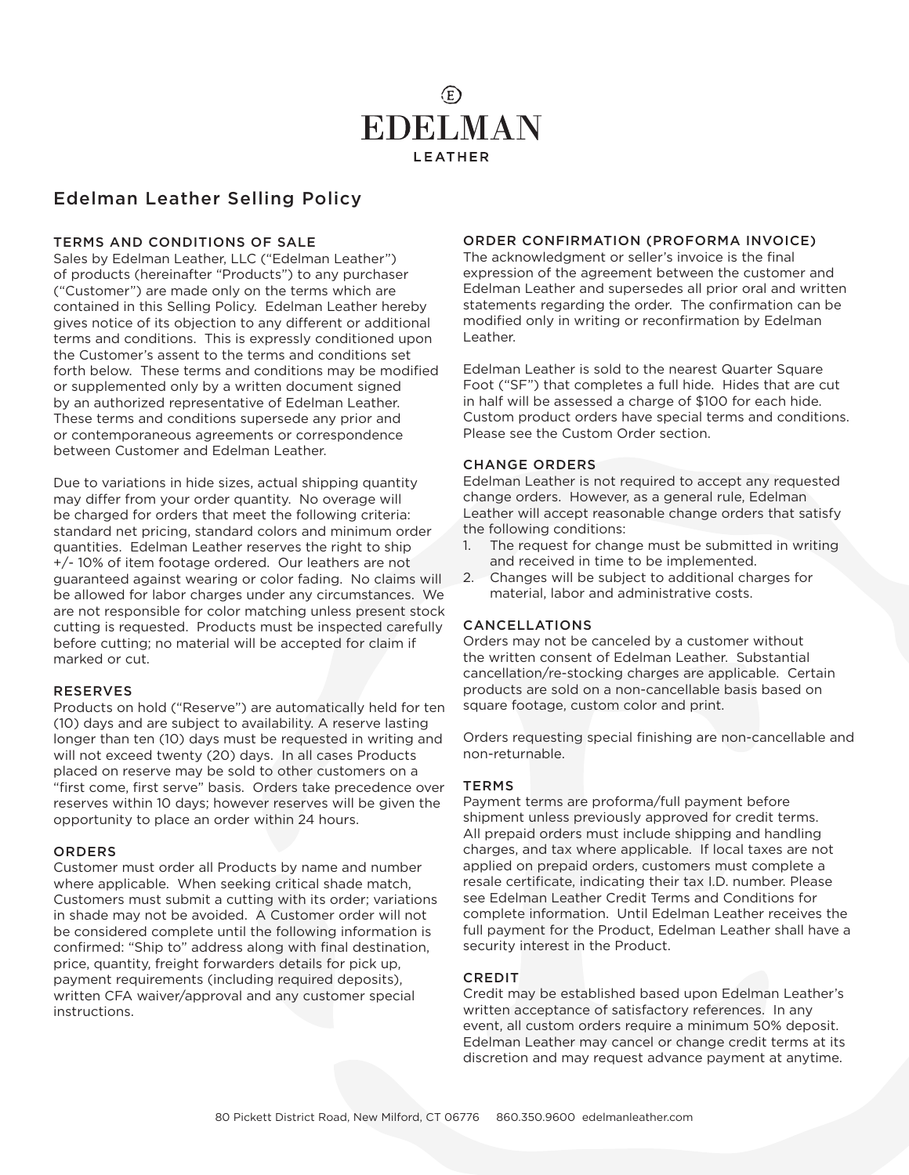

# Edelman Leather Selling Policy

#### TERMS AND CONDITIONS OF SALE

Sales by Edelman Leather, LLC ("Edelman Leather") of products (hereinafter "Products") to any purchaser ("Customer") are made only on the terms which are contained in this Selling Policy. Edelman Leather hereby gives notice of its objection to any different or additional terms and conditions. This is expressly conditioned upon the Customer's assent to the terms and conditions set forth below. These terms and conditions may be modified or supplemented only by a written document signed by an authorized representative of Edelman Leather. These terms and conditions supersede any prior and or contemporaneous agreements or correspondence between Customer and Edelman Leather.

Due to variations in hide sizes, actual shipping quantity may differ from your order quantity. No overage will be charged for orders that meet the following criteria: standard net pricing, standard colors and minimum order quantities. Edelman Leather reserves the right to ship +/- 10% of item footage ordered. Our leathers are not guaranteed against wearing or color fading. No claims will be allowed for labor charges under any circumstances. We are not responsible for color matching unless present stock cutting is requested. Products must be inspected carefully before cutting; no material will be accepted for claim if marked or cut.

#### RESERVES

Products on hold ("Reserve") are automatically held for ten (10) days and are subject to availability. A reserve lasting longer than ten (10) days must be requested in writing and will not exceed twenty (20) days. In all cases Products placed on reserve may be sold to other customers on a "first come, first serve" basis. Orders take precedence over reserves within 10 days; however reserves will be given the opportunity to place an order within 24 hours.

#### ORDERS

Customer must order all Products by name and number where applicable. When seeking critical shade match, Customers must submit a cutting with its order; variations in shade may not be avoided. A Customer order will not be considered complete until the following information is confirmed: "Ship to" address along with final destination, price, quantity, freight forwarders details for pick up, payment requirements (including required deposits), written CFA waiver/approval and any customer special instructions.

## ORDER CONFIRMATION (PROFORMA INVOICE)

The acknowledgment or seller's invoice is the final expression of the agreement between the customer and Edelman Leather and supersedes all prior oral and written statements regarding the order. The confirmation can be modified only in writing or reconfirmation by Edelman Leather.

Edelman Leather is sold to the nearest Quarter Square Foot ("SF") that completes a full hide. Hides that are cut in half will be assessed a charge of \$100 for each hide. Custom product orders have special terms and conditions. Please see the Custom Order section.

#### CHANGE ORDERS

Edelman Leather is not required to accept any requested change orders. However, as a general rule, Edelman Leather will accept reasonable change orders that satisfy the following conditions:

- 1. The request for change must be submitted in writing and received in time to be implemented.
- 2. Changes will be subject to additional charges for material, labor and administrative costs.

#### CANCELLATIONS

Orders may not be canceled by a customer without the written consent of Edelman Leather. Substantial cancellation/re-stocking charges are applicable. Certain products are sold on a non-cancellable basis based on square footage, custom color and print.

Orders requesting special finishing are non-cancellable and non-returnable.

#### **TERMS**

Payment terms are proforma/full payment before shipment unless previously approved for credit terms. All prepaid orders must include shipping and handling charges, and tax where applicable. If local taxes are not applied on prepaid orders, customers must complete a resale certificate, indicating their tax I.D. number. Please see Edelman Leather Credit Terms and Conditions for complete information. Until Edelman Leather receives the full payment for the Product, Edelman Leather shall have a security interest in the Product.

#### **CREDIT**

Credit may be established based upon Edelman Leather's written acceptance of satisfactory references. In any event, all custom orders require a minimum 50% deposit. Edelman Leather may cancel or change credit terms at its discretion and may request advance payment at anytime.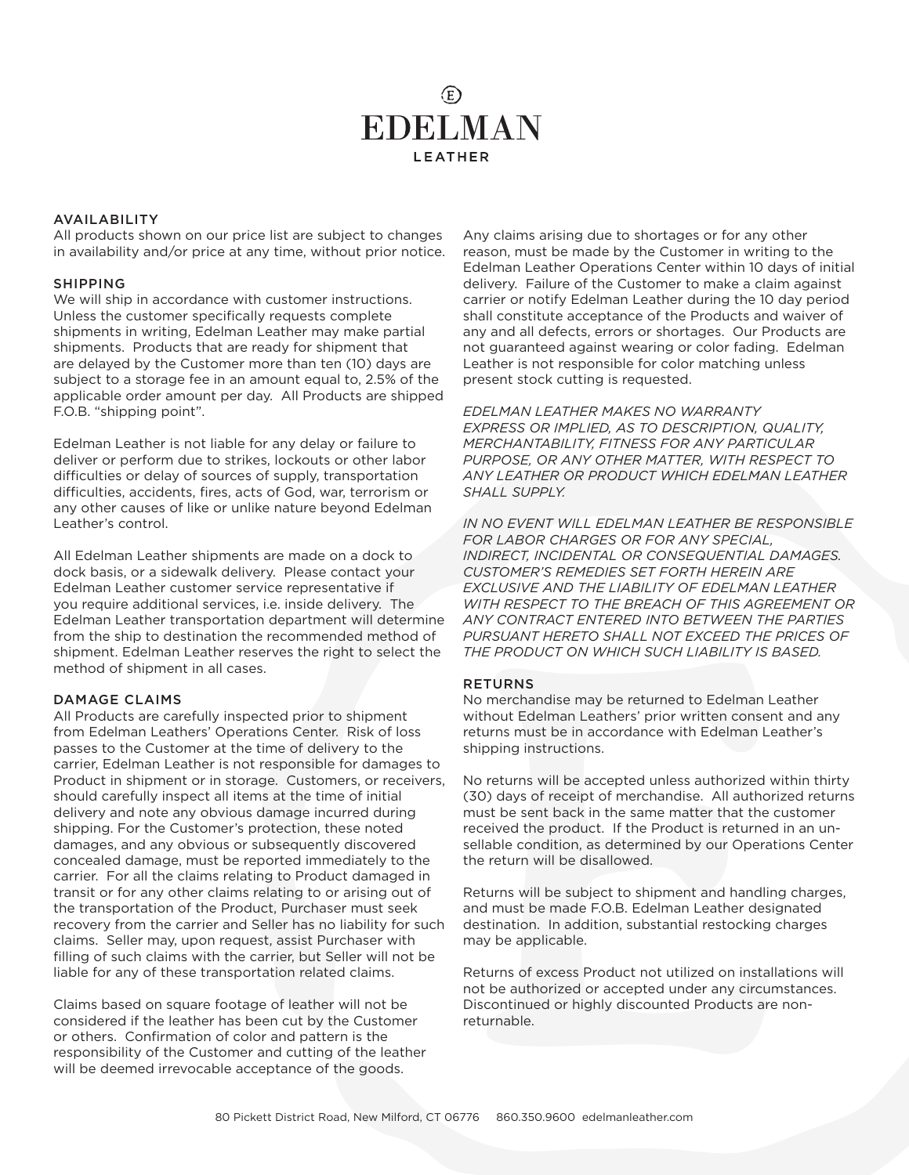# $(E)$ **EDELMAN LEATHER**

#### AVAILABILITY

All products shown on our price list are subject to changes in availability and/or price at any time, without prior notice.

#### SHIPPING

We will ship in accordance with customer instructions. Unless the customer specifically requests complete shipments in writing, Edelman Leather may make partial shipments. Products that are ready for shipment that are delayed by the Customer more than ten (10) days are subject to a storage fee in an amount equal to, 2.5% of the applicable order amount per day. All Products are shipped F.O.B. "shipping point".

Edelman Leather is not liable for any delay or failure to deliver or perform due to strikes, lockouts or other labor difficulties or delay of sources of supply, transportation difficulties, accidents, fires, acts of God, war, terrorism or any other causes of like or unlike nature beyond Edelman Leather's control.

All Edelman Leather shipments are made on a dock to dock basis, or a sidewalk delivery. Please contact your Edelman Leather customer service representative if you require additional services, i.e. inside delivery. The Edelman Leather transportation department will determine from the ship to destination the recommended method of shipment. Edelman Leather reserves the right to select the method of shipment in all cases.

#### DAMAGE CLAIMS

All Products are carefully inspected prior to shipment from Edelman Leathers' Operations Center. Risk of loss passes to the Customer at the time of delivery to the carrier, Edelman Leather is not responsible for damages to Product in shipment or in storage. Customers, or receivers, should carefully inspect all items at the time of initial delivery and note any obvious damage incurred during shipping. For the Customer's protection, these noted damages, and any obvious or subsequently discovered concealed damage, must be reported immediately to the carrier. For all the claims relating to Product damaged in transit or for any other claims relating to or arising out of the transportation of the Product, Purchaser must seek recovery from the carrier and Seller has no liability for such claims. Seller may, upon request, assist Purchaser with filling of such claims with the carrier, but Seller will not be liable for any of these transportation related claims.

Claims based on square footage of leather will not be considered if the leather has been cut by the Customer or others. Confirmation of color and pattern is the responsibility of the Customer and cutting of the leather will be deemed irrevocable acceptance of the goods.

Any claims arising due to shortages or for any other reason, must be made by the Customer in writing to the Edelman Leather Operations Center within 10 days of initial delivery. Failure of the Customer to make a claim against carrier or notify Edelman Leather during the 10 day period shall constitute acceptance of the Products and waiver of any and all defects, errors or shortages. Our Products are not guaranteed against wearing or color fading. Edelman Leather is not responsible for color matching unless present stock cutting is requested.

*EDELMAN LEATHER MAKES NO WARRANTY EXPRESS OR IMPLIED, AS TO DESCRIPTION, QUALITY, MERCHANTABILITY, FITNESS FOR ANY PARTICULAR PURPOSE, OR ANY OTHER MATTER, WITH RESPECT TO ANY LEATHER OR PRODUCT WHICH EDELMAN LEATHER SHALL SUPPLY.* 

*IN NO EVENT WILL EDELMAN LEATHER BE RESPONSIBLE FOR LABOR CHARGES OR FOR ANY SPECIAL, INDIRECT, INCIDENTAL OR CONSEQUENTIAL DAMAGES. CUSTOMER'S REMEDIES SET FORTH HEREIN ARE EXCLUSIVE AND THE LIABILITY OF EDELMAN LEATHER WITH RESPECT TO THE BREACH OF THIS AGREEMENT OR ANY CONTRACT ENTERED INTO BETWEEN THE PARTIES PURSUANT HERETO SHALL NOT EXCEED THE PRICES OF THE PRODUCT ON WHICH SUCH LIABILITY IS BASED.* 

#### **RETURNS**

No merchandise may be returned to Edelman Leather without Edelman Leathers' prior written consent and any returns must be in accordance with Edelman Leather's shipping instructions.

No returns will be accepted unless authorized within thirty (30) days of receipt of merchandise. All authorized returns must be sent back in the same matter that the customer received the product. If the Product is returned in an unsellable condition, as determined by our Operations Center the return will be disallowed.

Returns will be subject to shipment and handling charges, and must be made F.O.B. Edelman Leather designated destination. In addition, substantial restocking charges may be applicable.

Returns of excess Product not utilized on installations will not be authorized or accepted under any circumstances. Discontinued or highly discounted Products are nonreturnable.